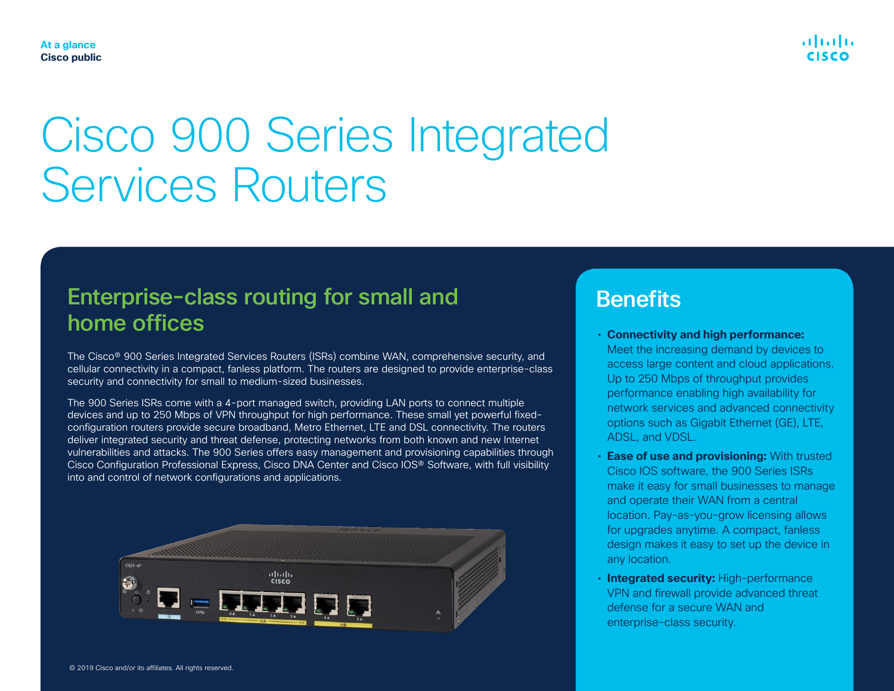

## Enterprise-class routing for small and home offices

The Cisco® 900 Series Integrated Services Routers (ISRs) combine WAN, comprehensive security, and cellular connectivity in a compact, fanless platform. The routers are designed to provide enterprise-class security and connectivity for small to medium-sized businesses.

The 900 Series ISRs come with a 4-port managed switch, providing LAN ports to connect multiple devices and up to 250 Mbps of VPN throughput for high performance. These small yet powerful fixedconfiguration routers provide secure broadband, Metro Ethernet, LTE and DSL connectivity. The routers deliver integrated security and threat defense, protecting networks from both known and new Internet vulnerabilities and attacks. The 900 Series offers easy management and provisioning capabilities through Cisco Configuration Professional Express, Cisco DNA Center and Cisco IOS® Software, with full visibility into and control of network configurations and applications.



## **Benefits**

• **Connectivity and high performance:** Meet the increasing demand by devices to access large content and cloud applications. Up to 250 Mbps of throughput provides performance enabling high availability for network services and advanced connectivity options such as Gigabit Ethernet (GE), LTE, ADSL, and VDSL.

بالسالب

- **Ease of use and provisioning:** With trusted Cisco IOS software, the 900 Series ISRs make it easy for small businesses to manage and operate their WAN from a central location. Pay-as-you-grow licensing allows for upgrades anytime. A compact, fanless design makes it easy to set up the device in any location.
- **Integrated security:** High-performance VPN and firewall provide advanced threat defense for a secure WAN and enterprise-class security.